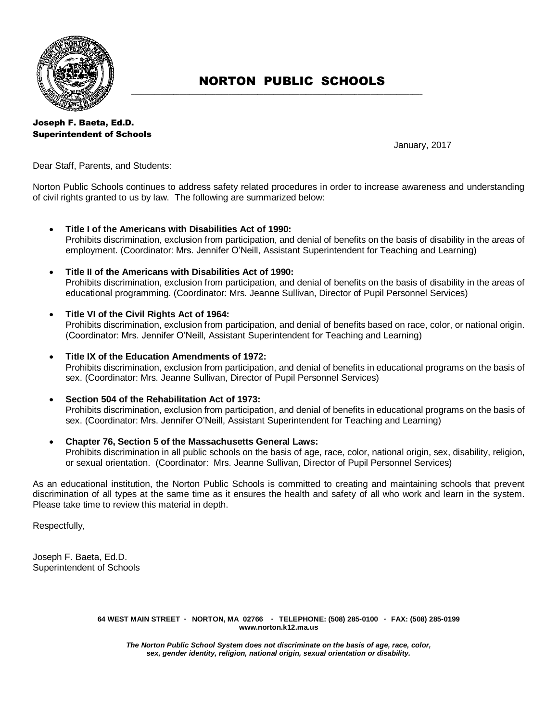

# NORTON PUBLIC SCHOOLS

**\_\_\_\_\_\_\_\_\_\_\_\_\_\_\_\_\_\_\_\_\_\_\_\_\_\_\_\_\_\_\_\_\_\_\_\_\_\_\_\_\_\_\_\_\_\_\_\_\_\_\_\_\_\_\_\_\_\_\_\_\_\_\_\_\_\_\_\_\_\_\_\_\_\_\_\_\_\_\_\_\_\_\_\_\_\_\_\_\_\_**

Joseph F. Baeta, Ed.D. Superintendent of Schools

January, 2017

Dear Staff, Parents, and Students:

Norton Public Schools continues to address safety related procedures in order to increase awareness and understanding of civil rights granted to us by law. The following are summarized below:

- **Title I of the Americans with Disabilities Act of 1990:** Prohibits discrimination, exclusion from participation, and denial of benefits on the basis of disability in the areas of employment. (Coordinator: Mrs. Jennifer O'Neill, Assistant Superintendent for Teaching and Learning)
- **Title II of the Americans with Disabilities Act of 1990:** Prohibits discrimination, exclusion from participation, and denial of benefits on the basis of disability in the areas of educational programming. (Coordinator: Mrs. Jeanne Sullivan, Director of Pupil Personnel Services)
- **Title VI of the Civil Rights Act of 1964:** Prohibits discrimination, exclusion from participation, and denial of benefits based on race, color, or national origin. (Coordinator: Mrs. Jennifer O'Neill, Assistant Superintendent for Teaching and Learning)
- **Title IX of the Education Amendments of 1972:** Prohibits discrimination, exclusion from participation, and denial of benefits in educational programs on the basis of sex. (Coordinator: Mrs. Jeanne Sullivan, Director of Pupil Personnel Services)
- **Section 504 of the Rehabilitation Act of 1973:** Prohibits discrimination, exclusion from participation, and denial of benefits in educational programs on the basis of sex. (Coordinator: Mrs. Jennifer O'Neill, Assistant Superintendent for Teaching and Learning)
- **Chapter 76, Section 5 of the Massachusetts General Laws:** Prohibits discrimination in all public schools on the basis of age, race, color, national origin, sex, disability, religion, or sexual orientation. (Coordinator: Mrs. Jeanne Sullivan, Director of Pupil Personnel Services)

As an educational institution, the Norton Public Schools is committed to creating and maintaining schools that prevent discrimination of all types at the same time as it ensures the health and safety of all who work and learn in the system. Please take time to review this material in depth.

Respectfully,

Joseph F. Baeta, Ed.D. Superintendent of Schools

> **64 WEST MAIN STREET \* NORTON, MA 02766 \* TELEPHONE: (508) 285-0100 \* FAX: (508) 285-0199 www.norton.k12.ma.us**

*The Norton Public School System does not discriminate on the basis of age, race, color, sex, gender identity, religion, national origin, sexual orientation or disability.*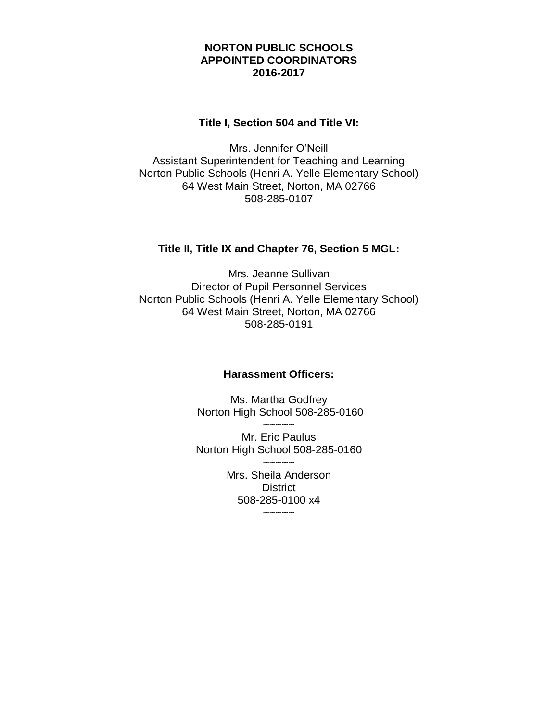# **NORTON PUBLIC SCHOOLS APPOINTED COORDINATORS 2016-2017**

# **Title I, Section 504 and Title VI:**

Mrs. Jennifer O'Neill Assistant Superintendent for Teaching and Learning Norton Public Schools (Henri A. Yelle Elementary School) 64 West Main Street, Norton, MA 02766 508-285-0107

# **Title II, Title IX and Chapter 76, Section 5 MGL:**

Mrs. Jeanne Sullivan Director of Pupil Personnel Services Norton Public Schools (Henri A. Yelle Elementary School) 64 West Main Street, Norton, MA 02766 508-285-0191

# **Harassment Officers:**

Ms. Martha Godfrey Norton High School 508-285-0160  $\sim$   $\sim$   $\sim$   $\sim$ 

Mr. Eric Paulus Norton High School 508-285-0160  $~\sim~\sim~\sim~\sim~$ Mrs. Sheila Anderson **District** 508-285-0100 x4  $\sim\sim\sim\sim\sim$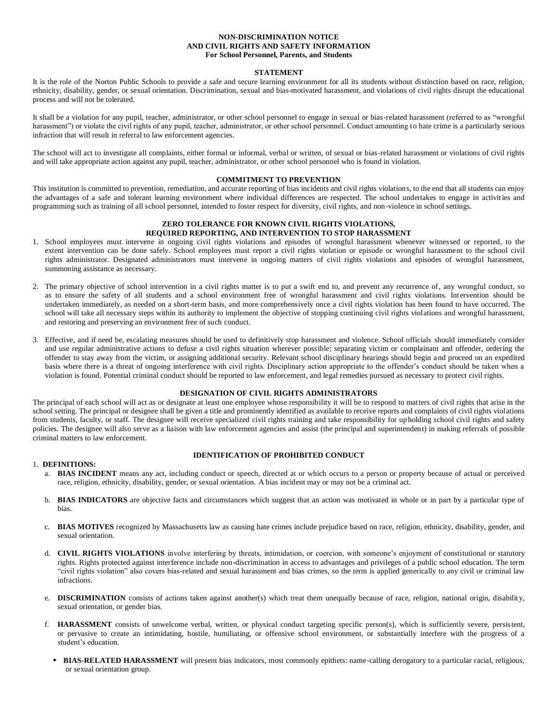### **NON-DISCRIMINATION NOTICE AND CIVIL RIGHTS AND SAFETY INFORMATION For School Personnel, Parents, and Students**

#### **STATEMENT**

It is the role of the Norton Public Schools to provide a safe and secure learning environment for all its students without distinction based on race, religion, ethnicity, disability, gender, or sexual orientation. Discrimination, sexual and bias-motivated harassment, and violations of civil rights disrupt the educational process and will not be tolerated.

It shall be a violation for any pupil, teacher, administrator, or other school personnel to engage in sexual or bias-related harassment (referred to as "wrongful harassment") or violate the civil rights of any pupil, teacher, administrator, or other school personnel. Conduct amounting to hate crime is a particularly serious infraction that will result in referral to law enforcement agencies.

The school will act to investigate all complaints, either formal or informal, verbal or written, of sexual or bias-related harassment or violations of civil rights and will take appropriate action against any pupil, teacher, administrator, or other school personnel who is found in violation.

### **COMMITMENT TO PREVENTION**

This institution is committed to prevention, remediation, and accurate reporting of bias incidents and civil rights violations, to the end that all students can enjoy the advantages of a safe and tolerant learning environment where individual differences are respected. The school undertakes to engage in activities and programming such as training of all school personnel, intended to foster respect for diversity, civil rights, and non-violence in school settings.

# **ZERO TOLERANCE FOR KNOWN CIVIL RIGHTS VIOLATIONS, REQUIRED REPORTING, AND INTERVENTION TO STOP HARASSMENT**

- 1. School employees must intervene in ongoing civil rights violations and episodes of wrongful harassment whenever witnessed or reported, to the extent intervention can be done safely. School employees must report a civil rights violation or episode or wrongful harassment to the school civil rights administrator. Designated administrators must intervene in ongoing matters of civil rights violations and episodes of wrongful harassment, summoning assistance as necessary.
- 2. The primary objective of school intervention in a civil rights matter is to put a swift end to, and prevent any recurrence of, any wrongful conduct, so as to ensure the safety of all students and a school environment free of wrongful harassment and civil rights violations. Intervention should be undertaken immediately, as needed on a short-term basis, and more comprehensively once a civil rights violation has been found to have occurred. The school will take all necessary steps within its authority to implement the objective of stopping continuing civil rights violations and wrongful harassment, and restoring and preserving an environment free of such conduct.
- 3. Effective, and if need be, escalating measures should be used to definitively stop harassment and violence. School officials should immediately consider and use regular administrative actions to defuse a civil rights situation wherever possible; separating victim or complainant and offender, ordering the offender to stay away from the victim, or assigning additional security. Relevant school disciplinary hearings should begin and proceed on an expedited basis where there is a threat of ongoing interference with civil rights. Disciplinary action appropriate to the offender's conduct should be taken when a violation is found. Potential criminal conduct should be reported to law enforcement, and legal remedies pursued as necessary to protect civil rights.

#### **DESIGNATION OF CIVIL RIGHTS ADMINISTRATORS**

The principal of each school will act as or designate at least one employee whose responsibility it will be to respond to matters of civil rights that arise in the school setting. The principal or designee shall be given a title and prominently identified as available to receive reports and complaints of civil rights violations from students, faculty, or staff. The designee will receive specialized civil rights training and take responsibility for upholding school civil rights and safety policies. The designee will also serve as a liaison with law enforcement agencies and assist (the principal and superintendent) in making referrals of possible criminal matters to law enforcement.

# **IDENTIFICATION OF PROHIBITED CONDUCT**

# 1. **DEFINITIONS:**

- a. **BIAS INCIDENT** means any act, including conduct or speech, directed at or which occurs to a person or property because of actual or perceived race, religion, ethnicity, disability, gender, or sexual orientation. A bias incident may or may not be a criminal act.
- b. **BIAS INDICATORS** are objective facts and circumstances which suggest that an action was motivated in whole or in part by a particular type of bias.
- c. **BIAS MOTIVES** recognized by Massachusetts law as causing hate crimes include prejudice based on race, religion, ethnicity, disability, gender, and sexual orientation.
- d. **CIVIL RIGHTS VIOLATIONS** involve interfering by threats, intimidation, or coercion, with someone's enjoyment of constitutional or statutory rights. Rights protected against interference include non-discrimination in access to advantages and privileges of a public school education. The term "civil rights violation" also covers bias-related and sexual harassment and bias crimes, so the term is applied generically to any civil or criminal law infractions.
- e. **DISCRIMINATION** consists of actions taken against another(s) which treat them unequally because of race, religion, national origin, disability, sexual orientation, or gender bias.
- f. **HARASSMENT** consists of unwelcome verbal, written, or physical conduct targeting specific person(s), which is sufficiently severe, persistent, or pervasive to create an intimidating, hostile, humiliating, or offensive school environment, or substantially interfere with the progress of a student's education.
	- **BIAS-RELATED HARASSMENT** will present bias indicators, most commonly epithets: name-calling derogatory to a particular racial, religious, or sexual orientation group.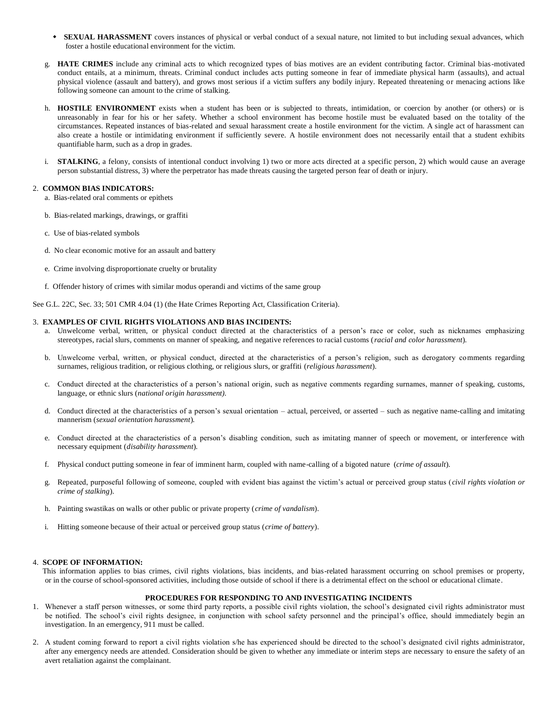- **SEXUAL HARASSMENT** covers instances of physical or verbal conduct of a sexual nature, not limited to but including sexual advances, which foster a hostile educational environment for the victim.
- g. **HATE CRIMES** include any criminal acts to which recognized types of bias motives are an evident contributing factor. Criminal bias-motivated conduct entails, at a minimum, threats. Criminal conduct includes acts putting someone in fear of immediate physical harm (assaults), and actual physical violence (assault and battery), and grows most serious if a victim suffers any bodily injury. Repeated threatening or menacing actions like following someone can amount to the crime of stalking.
- h. **HOSTILE ENVIRONMENT** exists when a student has been or is subjected to threats, intimidation, or coercion by another (or others) or is unreasonably in fear for his or her safety. Whether a school environment has become hostile must be evaluated based on the totality of the circumstances. Repeated instances of bias-related and sexual harassment create a hostile environment for the victim. A single act of harassment can also create a hostile or intimidating environment if sufficiently severe. A hostile environment does not necessarily entail that a student exhibits quantifiable harm, such as a drop in grades.
- i. **STALKING**, a felony, consists of intentional conduct involving 1) two or more acts directed at a specific person, 2) which would cause an average person substantial distress, 3) where the perpetrator has made threats causing the targeted person fear of death or injury.

# 2. **COMMON BIAS INDICATORS:**

- a. Bias-related oral comments or epithets
- b. Bias-related markings, drawings, or graffiti
- c. Use of bias-related symbols
- d. No clear economic motive for an assault and battery
- e. Crime involving disproportionate cruelty or brutality
- f. Offender history of crimes with similar modus operandi and victims of the same group

See G.L. 22C, Sec. 33; 501 CMR 4.04 (1) (the Hate Crimes Reporting Act, Classification Criteria).

#### 3. **EXAMPLES OF CIVIL RIGHTS VIOLATIONS AND BIAS INCIDENTS:**

- a. Unwelcome verbal, written, or physical conduct directed at the characteristics of a person's race or color, such as nicknames emphasizing stereotypes, racial slurs, comments on manner of speaking, and negative references to racial customs (*racial and color harassment*)*.*
- b. Unwelcome verbal, written, or physical conduct, directed at the characteristics of a person's religion, such as derogatory comments regarding surnames, religious tradition, or religious clothing, or religious slurs, or graffiti (*religious harassment*)*.*
- c. Conduct directed at the characteristics of a person's national origin, such as negative comments regarding surnames, manner of speaking, customs, language, or ethnic slurs (*national origin harassment).*
- d. Conduct directed at the characteristics of a person's sexual orientation actual, perceived, or asserted such as negative name-calling and imitating mannerism (*sexual orientation harassment*)*.*
- e. Conduct directed at the characteristics of a person's disabling condition, such as imitating manner of speech or movement, or interference with necessary equipment (*disability harassment*)*.*
- f. Physical conduct putting someone in fear of imminent harm, coupled with name-calling of a bigoted nature (*crime of assault*)*.*
- g. Repeated, purposeful following of someone, coupled with evident bias against the victim's actual or perceived group status (*civil rights violation or crime of stalking*).
- h. Painting swastikas on walls or other public or private property (*crime of vandalism*).
- i. Hitting someone because of their actual or perceived group status (*crime of battery*).

# 4. **SCOPE OF INFORMATION:**

 This information applies to bias crimes, civil rights violations, bias incidents, and bias-related harassment occurring on school premises or property, or in the course of school-sponsored activities, including those outside of school if there is a detrimental effect on the school or educational climate.

#### **PROCEDURES FOR RESPONDING TO AND INVESTIGATING INCIDENTS**

- 1. Whenever a staff person witnesses, or some third party reports, a possible civil rights violation, the school's designated civil rights administrator must be notified. The school's civil rights designee, in conjunction with school safety personnel and the principal's office, should immediately begin an investigation. In an emergency, 911 must be called.
- 2. A student coming forward to report a civil rights violation s/he has experienced should be directed to the school's designated civil rights administrator, after any emergency needs are attended. Consideration should be given to whether any immediate or interim steps are necessary to ensure the safety of an avert retaliation against the complainant.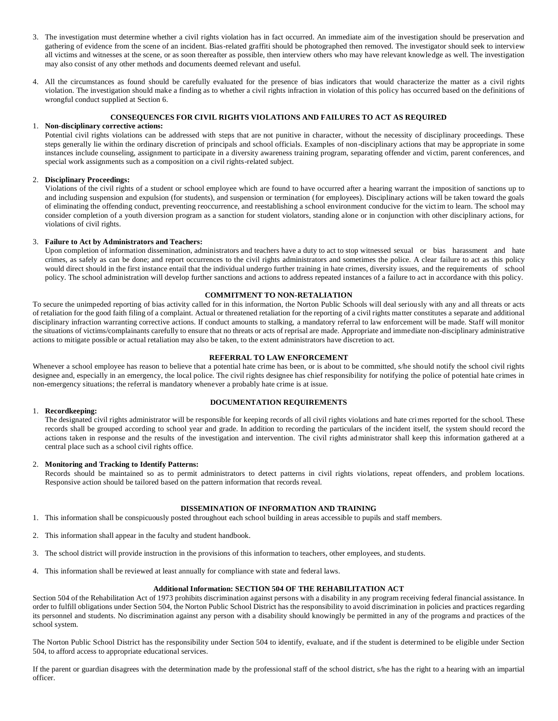- 3. The investigation must determine whether a civil rights violation has in fact occurred. An immediate aim of the investigation should be preservation and gathering of evidence from the scene of an incident. Bias-related graffiti should be photographed then removed. The investigator should seek to interview all victims and witnesses at the scene, or as soon thereafter as possible, then interview others who may have relevant knowledge as well. The investigation may also consist of any other methods and documents deemed relevant and useful.
- 4. All the circumstances as found should be carefully evaluated for the presence of bias indicators that would characterize the matter as a civil rights violation. The investigation should make a finding as to whether a civil rights infraction in violation of this policy has occurred based on the definitions of wrongful conduct supplied at Section 6.

### **CONSEQUENCES FOR CIVIL RIGHTS VIOLATIONS AND FAILURES TO ACT AS REQUIRED**

#### 1. **Non-disciplinary corrective actions:**

Potential civil rights violations can be addressed with steps that are not punitive in character, without the necessity of disciplinary proceedings. These steps generally lie within the ordinary discretion of principals and school officials. Examples of non -disciplinary actions that may be appropriate in some instances include counseling, assignment to participate in a diversity awareness training program, separating offender and victim, parent conferences, and special work assignments such as a composition on a civil rights-related subject.

### 2. **Disciplinary Proceedings:**

Violations of the civil rights of a student or school employee which are found to have occurred after a hearing warrant the imposition of sanctions up to and including suspension and expulsion (for students), and suspension or termination (for employees). Disciplinary actions will be taken toward the goals of eliminating the offending conduct, preventing reoccurrence, and reestablishing a school environment conducive for the victim to learn. The school may consider completion of a youth diversion program as a sanction for student violators, standing alone or in conjunction with other disciplinary actions, for violations of civil rights.

#### 3. **Failure to Act by Administrators and Teachers:**

Upon completion of information dissemination, administrators and teachers have a duty to act to stop witnessed sexual or bias harassment and hate crimes, as safely as can be done; and report occurrences to the civil rights administrators and sometimes the police. A clear failure to act as this policy would direct should in the first instance entail that the individual undergo further training in hate crimes, diversity issues, and the requirements of school policy. The school administration will develop further sanctions and actions to address repeated instances of a failure to act in accordance with this policy.

#### **COMMITMENT TO NON-RETALIATION**

To secure the unimpeded reporting of bias activity called for in this information, the Norton Public Schools will deal seriously with any and all threats or acts of retaliation for the good faith filing of a complaint. Actual or threatened retaliation for the reporting of a civil rights matter constitutes a separate and additional disciplinary infraction warranting corrective actions. If conduct amounts to stalking, a mandatory referral to law enforcement will be made. Staff will monitor the situations of victims/complainants carefully to ensure that no threats or acts of reprisal are made. Appropriate and immediate non-disciplinary administrative actions to mitigate possible or actual retaliation may also be taken, to the extent administrators have discretion to act.

# **REFERRAL TO LAW ENFORCEMENT**

Whenever a school employee has reason to believe that a potential hate crime has been, or is about to be committed, s/he should notify the school civil rights designee and, especially in an emergency, the local police. The civil rights designee has chief responsibility for notifying the police of potential hate crimes in non-emergency situations; the referral is mandatory whenever a probably hate crime is at issue.

#### 1. **Recordkeeping:**

# **DOCUMENTATION REQUIREMENTS**

The designated civil rights administrator will be responsible for keeping records of all civil rights violations and hate crimes reported for the school. These records shall be grouped according to school year and grade. In addition to recording the particulars of the incident itself, the system should record the actions taken in response and the results of the investigation and intervention. The civil rights administrator shall keep this information gathered at a central place such as a school civil rights office.

# 2. **Monitoring and Tracking to Identify Patterns:**

Records should be maintained so as to permit administrators to detect patterns in civil rights violations, repeat offenders, and problem locations. Responsive action should be tailored based on the pattern information that records reveal.

# **DISSEMINATION OF INFORMATION AND TRAINING**

- 1. This information shall be conspicuously posted throughout each school building in areas accessible to pupils and staff members.
- 2. This information shall appear in the faculty and student handbook.
- 3. The school district will provide instruction in the provisions of this information to teachers, other employees, and students.
- 4. This information shall be reviewed at least annually for compliance with state and federal laws.

# **Additional Information: SECTION 504 OF THE REHABILITATION ACT**

Section 504 of the Rehabilitation Act of 1973 prohibits discrimination against persons with a disability in any program receiving federal financial assistance. In order to fulfill obligations under Section 504, the Norton Public School District has the responsibility to avoid discrimination in policies and practices regarding its personnel and students. No discrimination against any person with a disability should knowingly be permitted in any of the programs a nd practices of the school system.

The Norton Public School District has the responsibility under Section 504 to identify, evaluate, and if the student is determined to be eligible under Section 504, to afford access to appropriate educational services.

If the parent or guardian disagrees with the determination made by the professional staff of the school district, s/he has the right to a hearing with an impartial officer.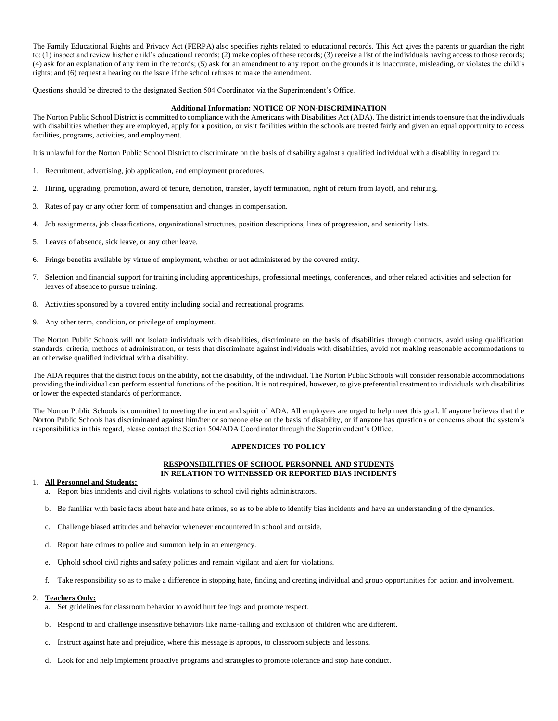The Family Educational Rights and Privacy Act (FERPA) also specifies rights related to educational records. This Act gives the parents or guardian the right to: (1) inspect and review his/her child's educational records; (2) make copies of these records; (3) receive a list of the individuals having access to those records; (4) ask for an explanation of any item in the records; (5) ask for an amendment to any report on the grounds it is inaccurate, misleading, or violates the child's rights; and (6) request a hearing on the issue if the school refuses to make the amendment.

Questions should be directed to the designated Section 504 Coordinator via the Superintendent's Office.

# **Additional Information: NOTICE OF NON-DISCRIMINATION**

The Norton Public School District is committed to compliance with the Americans with Disabilities Act (ADA). The district intends to ensure that the individuals with disabilities whether they are employed, apply for a position, or visit facilities within the schools are treated fairly and given an equal opportunity to access facilities, programs, activities, and employment.

It is unlawful for the Norton Public School District to discriminate on the basis of disability against a qualified individual with a disability in regard to:

- 1. Recruitment, advertising, job application, and employment procedures.
- 2. Hiring, upgrading, promotion, award of tenure, demotion, transfer, layoff termination, right of return from layoff, and rehiring.
- 3. Rates of pay or any other form of compensation and changes in compensation.
- 4. Job assignments, job classifications, organizational structures, position descriptions, lines of progression, and seniority lists.
- 5. Leaves of absence, sick leave, or any other leave.
- 6. Fringe benefits available by virtue of employment, whether or not administered by the covered entity.
- 7. Selection and financial support for training including apprenticeships, professional meetings, conferences, and other related activities and selection for leaves of absence to pursue training.
- 8. Activities sponsored by a covered entity including social and recreational programs.
- 9. Any other term, condition, or privilege of employment.

The Norton Public Schools will not isolate individuals with disabilities, discriminate on the basis of disabilities through contracts, avoid using qualification standards, criteria, methods of administration, or tests that discriminate against individuals with disabilities, avoid not making reasonable accommodations to an otherwise qualified individual with a disability.

The ADA requires that the district focus on the ability, not the disability, of the individual. The Norton Public Schools will consider reasonable accommodations providing the individual can perform essential functions of the position. It is not required, however, to give preferential treatment to individuals with disabilities or lower the expected standards of performance.

The Norton Public Schools is committed to meeting the intent and spirit of ADA. All employees are urged to help meet this goal. If anyone believes that the Norton Public Schools has discriminated against him/her or someone else on the basis of disability, or if anyone has questions or concerns about the system's responsibilities in this regard, please contact the Section 504/ADA Coordinator through the Superintendent's Office.

# **APPENDICES TO POLICY**

# **RESPONSIBILITIES OF SCHOOL PERSONNEL AND STUDENTS IN RELATION TO WITNESSED OR REPORTED BIAS INCIDENTS**

#### 1. **All Personnel and Students:**

- a. Report bias incidents and civil rights violations to school civil rights administrators.
- b. Be familiar with basic facts about hate and hate crimes, so as to be able to identify bias incidents and have an understanding of the dynamics.
- c. Challenge biased attitudes and behavior whenever encountered in school and outside.
- d. Report hate crimes to police and summon help in an emergency.
- e. Uphold school civil rights and safety policies and remain vigilant and alert for violations.
- f. Take responsibility so as to make a difference in stopping hate, finding and creating individual and group opportunities for action and involvement.

#### 2. **Teachers Only:**

- a. Set guidelines for classroom behavior to avoid hurt feelings and promote respect.
- b. Respond to and challenge insensitive behaviors like name-calling and exclusion of children who are different.
- c. Instruct against hate and prejudice, where this message is apropos, to classroom subjects and lessons.
- d. Look for and help implement proactive programs and strategies to promote tolerance and stop hate conduct.